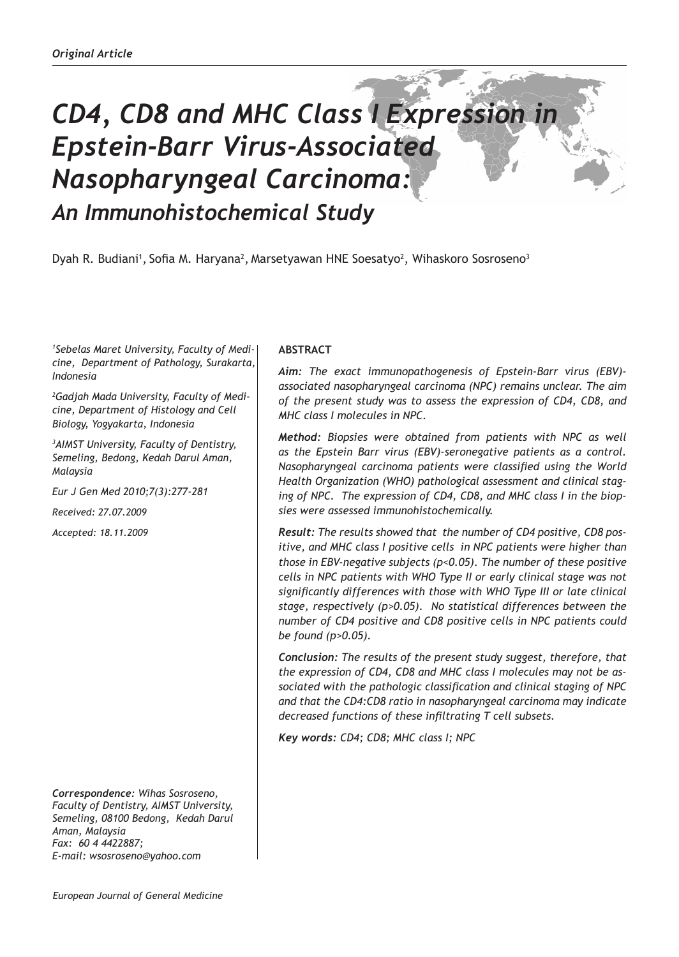# *CD4, CD8 and MHC Class I Expression in Epstein-Barr Virus-Associated Nasopharyngeal Carcinoma: An Immunohistochemical Study*

Dyah R. Budiani<sup>1</sup>, Sofia M. Haryana<sup>2</sup>, Marsetyawan HNE Soesatyo<sup>2</sup>, Wihaskoro Sosroseno<sup>3</sup>

*1 Sebelas Maret University, Faculty of Medicine, Department of Pathology, Surakarta, Indonesia*

*2 Gadjah Mada University, Faculty of Medicine, Department of Histology and Cell Biology, Yogyakarta, Indonesia*

*3 AIMST University, Faculty of Dentistry, Semeling, Bedong, Kedah Darul Aman, Malaysia*

*Eur J Gen Med 2010;7(3):277-281*

*Received: 27.07.2009*

*Accepted: 18.11.2009*

*Correspondence: Wihas Sosroseno, Faculty of Dentistry, AIMST University, Semeling, 08100 Bedong, Kedah Darul Aman, Malaysia Fax: 60 4 4422887; E-mail: wsosroseno@yahoo.com*

## **ABSTRACT**

*Aim: The exact immunopathogenesis of Epstein-Barr virus (EBV) associated nasopharyngeal carcinoma (NPC) remains unclear. The aim of the present study was to assess the expression of CD4, CD8, and MHC class I molecules in NPC.* 

*Method: Biopsies were obtained from patients with NPC as well as the Epstein Barr virus (EBV)-seronegative patients as a control. Nasopharyngeal carcinoma patients were classified using the World Health Organization (WHO) pathological assessment and clinical staging of NPC. The expression of CD4, CD8, and MHC class I in the biopsies were assessed immunohistochemically.* 

*Result: The results showed that the number of CD4 positive, CD8 positive, and MHC class I positive cells in NPC patients were higher than those in EBV-negative subjects (p<0.05). The number of these positive cells in NPC patients with WHO Type II or early clinical stage was not significantly differences with those with WHO Type III or late clinical stage, respectively (p>0.05). No statistical differences between the number of CD4 positive and CD8 positive cells in NPC patients could be found (p>0.05).* 

*Conclusion: The results of the present study suggest, therefore, that the expression of CD4, CD8 and MHC class I molecules may not be associated with the pathologic classification and clinical staging of NPC and that the CD4:CD8 ratio in nasopharyngeal carcinoma may indicate decreased functions of these infiltrating T cell subsets.* 

*Key words: CD4; CD8; MHC class I; NPC*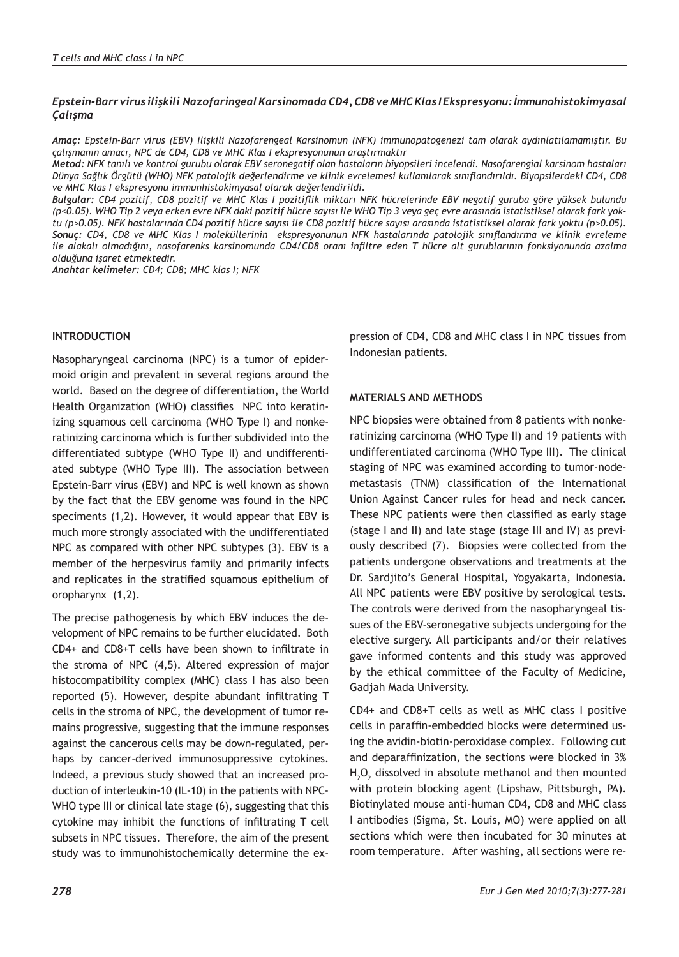### *Epstein-Barr virus ilişkili Nazofaringeal Karsinomada CD4, CD8 ve MHC Klas I Ekspresyonu: İmmunohistokimyasal Çalışma*

*Amaç: Epstein-Barr virus (EBV) ilişkili Nazofarengeal Karsinomun (NFK) immunopatogenezi tam olarak aydınlatılamamıştır. Bu çalışmanın amacı, NPC de CD4, CD8 ve MHC Klas I ekspresyonunun araştırmaktır*

*Metod: NFK tanılı ve kontrol gurubu olarak EBV seronegatif olan hastaların biyopsileri incelendi. Nasofarengial karsinom hastaları Dünya Sağlık Örgütü (WHO) NFK patolojik değerlendirme ve klinik evrelemesi kullanılarak sınıflandırıldı. Biyopsilerdeki CD4, CD8 ve MHC Klas I ekspresyonu immunhistokimyasal olarak değerlendirildi.*

*Bulgular: CD4 pozitif, CD8 pozitif ve MHC Klas I pozitiflik miktarı NFK hücrelerinde EBV negatif guruba göre yüksek bulundu (p<0.05). WHO Tip 2 veya erken evre NFK daki pozitif hücre sayısı ile WHO Tip 3 veya geç evre arasında istatistiksel olarak fark yoktu (p>0.05). NFK hastalarında CD4 pozitif hücre sayısı ile CD8 pozitif hücre sayısı arasında istatistiksel olarak fark yoktu (p>0.05). Sonuç: CD4, CD8 ve MHC Klas I moleküllerinin ekspresyonunun NFK hastalarında patolojik sınıflandırma ve klinik evreleme ile alakalı olmadığını, nasofarenks karsinomunda CD4/CD8 oranı infiltre eden T hücre alt gurublarının fonksiyonunda azalma olduğuna işaret etmektedir.*

*Anahtar kelimeler: CD4; CD8; MHC klas I; NFK*

### **INTRODUCTION**

Nasopharyngeal carcinoma (NPC) is a tumor of epidermoid origin and prevalent in several regions around the world. Based on the degree of differentiation, the World Health Organization (WHO) classifies NPC into keratinizing squamous cell carcinoma (WHO Type I) and nonkeratinizing carcinoma which is further subdivided into the differentiated subtype (WHO Type II) and undifferentiated subtype (WHO Type III). The association between Epstein-Barr virus (EBV) and NPC is well known as shown by the fact that the EBV genome was found in the NPC speciments (1,2). However, it would appear that EBV is much more strongly associated with the undifferentiated NPC as compared with other NPC subtypes (3). EBV is a member of the herpesvirus family and primarily infects and replicates in the stratified squamous epithelium of oropharynx (1,2).

The precise pathogenesis by which EBV induces the development of NPC remains to be further elucidated. Both CD4+ and CD8+T cells have been shown to infiltrate in the stroma of NPC (4,5). Altered expression of major histocompatibility complex (MHC) class I has also been reported (5). However, despite abundant infiltrating T cells in the stroma of NPC, the development of tumor remains progressive, suggesting that the immune responses against the cancerous cells may be down-regulated, perhaps by cancer-derived immunosuppressive cytokines. Indeed, a previous study showed that an increased production of interleukin-10 (IL-10) in the patients with NPC-WHO type III or clinical late stage (6), suggesting that this cytokine may inhibit the functions of infiltrating T cell subsets in NPC tissues. Therefore, the aim of the present study was to immunohistochemically determine the expression of CD4, CD8 and MHC class I in NPC tissues from Indonesian patients.

#### **MATERIALS AND METHODS**

NPC biopsies were obtained from 8 patients with nonkeratinizing carcinoma (WHO Type II) and 19 patients with undifferentiated carcinoma (WHO Type III). The clinical staging of NPC was examined according to tumor-nodemetastasis (TNM) classification of the International Union Against Cancer rules for head and neck cancer. These NPC patients were then classified as early stage (stage I and II) and late stage (stage III and IV) as previously described (7). Biopsies were collected from the patients undergone observations and treatments at the Dr. Sardjito's General Hospital, Yogyakarta, Indonesia. All NPC patients were EBV positive by serological tests. The controls were derived from the nasopharyngeal tissues of the EBV-seronegative subjects undergoing for the elective surgery. All participants and/or their relatives gave informed contents and this study was approved by the ethical committee of the Faculty of Medicine, Gadjah Mada University.

CD4+ and CD8+T cells as well as MHC class I positive cells in paraffin-embedded blocks were determined using the avidin-biotin-peroxidase complex. Following cut and deparaffinization, the sections were blocked in 3%  $H_2O_2$  dissolved in absolute methanol and then mounted with protein blocking agent (Lipshaw, Pittsburgh, PA). Biotinylated mouse anti-human CD4, CD8 and MHC class I antibodies (Sigma, St. Louis, MO) were applied on all sections which were then incubated for 30 minutes at room temperature. After washing, all sections were re-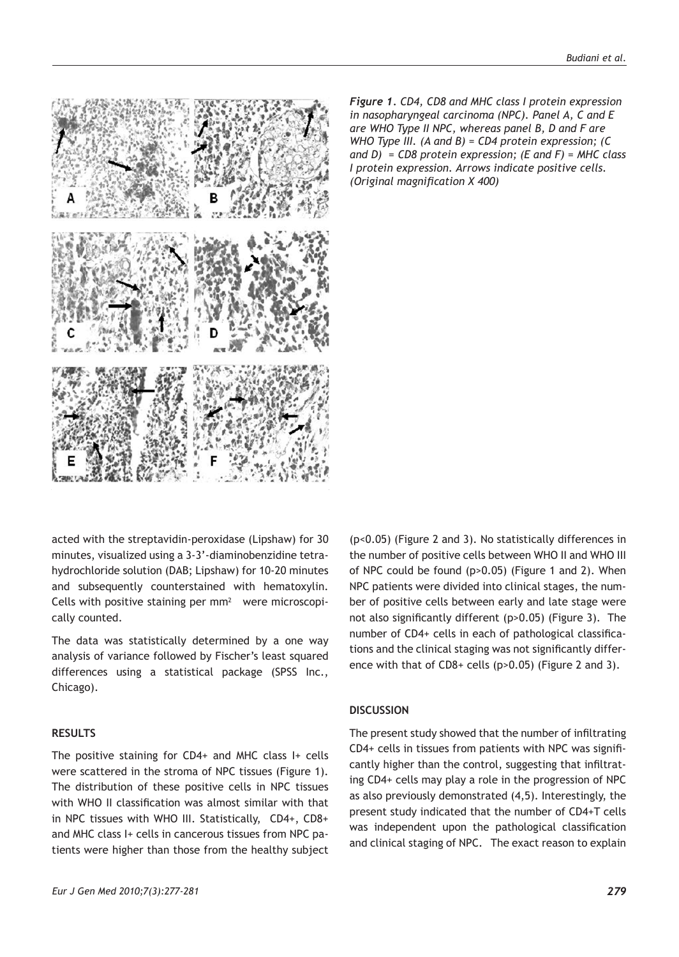

*Figure 1. CD4, CD8 and MHC class I protein expression in nasopharyngeal carcinoma (NPC). Panel A, C and E are WHO Type II NPC, whereas panel B, D and F are WHO Type III. (A and B) = CD4 protein expression; (C and D) = CD8 protein expression; (E and F) = MHC class I protein expression. Arrows indicate positive cells. (Original magnification X 400)* 

acted with the streptavidin-peroxidase (Lipshaw) for 30 minutes, visualized using a 3-3'-diaminobenzidine tetrahydrochloride solution (DAB; Lipshaw) for 10-20 minutes and subsequently counterstained with hematoxylin. Cells with positive staining per  $mm<sup>2</sup>$  were microscopically counted.

The data was statistically determined by a one way analysis of variance followed by Fischer's least squared differences using a statistical package (SPSS Inc., Chicago).

#### **RESULTS**

The positive staining for CD4+ and MHC class I+ cells were scattered in the stroma of NPC tissues (Figure 1). The distribution of these positive cells in NPC tissues with WHO II classification was almost similar with that in NPC tissues with WHO III. Statistically, CD4+, CD8+ and MHC class I+ cells in cancerous tissues from NPC patients were higher than those from the healthy subject (p<0.05) (Figure 2 and 3). No statistically differences in the number of positive cells between WHO II and WHO III of NPC could be found (p>0.05) (Figure 1 and 2). When NPC patients were divided into clinical stages, the number of positive cells between early and late stage were not also significantly different (p>0.05) (Figure 3). The number of CD4+ cells in each of pathological classifications and the clinical staging was not significantly difference with that of CD8+ cells (p>0.05) (Figure 2 and 3).

#### **DISCUSSION**

The present study showed that the number of infiltrating CD4+ cells in tissues from patients with NPC was significantly higher than the control, suggesting that infiltrating CD4+ cells may play a role in the progression of NPC as also previously demonstrated (4,5). Interestingly, the present study indicated that the number of CD4+T cells was independent upon the pathological classification and clinical staging of NPC. The exact reason to explain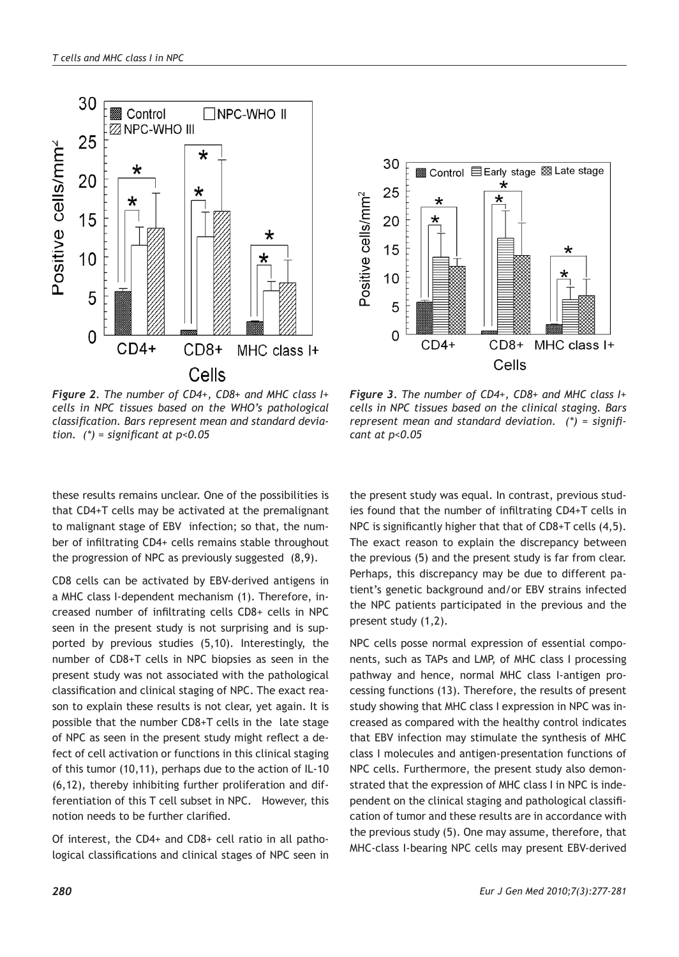



*Figure 2. The number of CD4+, CD8+ and MHC class I+ cells in NPC tissues based on the WHO's pathological classification. Bars represent mean and standard deviation. (\*) = significant at p<0.05*

*Figure 3. The number of CD4+, CD8+ and MHC class I+ cells in NPC tissues based on the clinical staging. Bars represent mean and standard deviation. (\*) = significant at p<0.05*

these results remains unclear. One of the possibilities is that CD4+T cells may be activated at the premalignant to malignant stage of EBV infection; so that, the number of infiltrating CD4+ cells remains stable throughout the progression of NPC as previously suggested (8,9).

CD8 cells can be activated by EBV-derived antigens in a MHC class I-dependent mechanism (1). Therefore, increased number of infiltrating cells CD8+ cells in NPC seen in the present study is not surprising and is supported by previous studies (5,10). Interestingly, the number of CD8+T cells in NPC biopsies as seen in the present study was not associated with the pathological classification and clinical staging of NPC. The exact reason to explain these results is not clear, yet again. It is possible that the number CD8+T cells in the late stage of NPC as seen in the present study might reflect a defect of cell activation or functions in this clinical staging of this tumor (10,11), perhaps due to the action of IL-10 (6,12), thereby inhibiting further proliferation and differentiation of this T cell subset in NPC. However, this notion needs to be further clarified.

Of interest, the CD4+ and CD8+ cell ratio in all pathological classifications and clinical stages of NPC seen in

the present study was equal. In contrast, previous studies found that the number of infiltrating CD4+T cells in NPC is significantly higher that that of CD8+T cells (4,5). The exact reason to explain the discrepancy between the previous (5) and the present study is far from clear. Perhaps, this discrepancy may be due to different patient's genetic background and/or EBV strains infected the NPC patients participated in the previous and the present study (1,2).

NPC cells posse normal expression of essential components, such as TAPs and LMP, of MHC class I processing pathway and hence, normal MHC class I-antigen processing functions (13). Therefore, the results of present study showing that MHC class I expression in NPC was increased as compared with the healthy control indicates that EBV infection may stimulate the synthesis of MHC class I molecules and antigen-presentation functions of NPC cells. Furthermore, the present study also demonstrated that the expression of MHC class I in NPC is independent on the clinical staging and pathological classification of tumor and these results are in accordance with the previous study (5). One may assume, therefore, that MHC-class I-bearing NPC cells may present EBV-derived